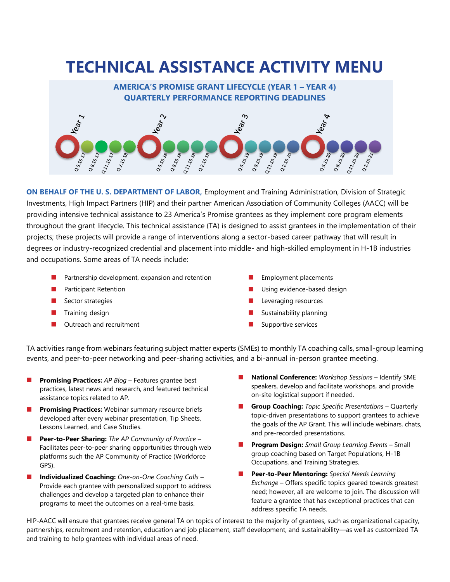# **TECHNICAL ASSISTANCE ACTIVITY MENU**



**ON BEHALF OF THE U. S. DEPARTMENT OF LABOR,** Employment and Training Administration, Division of Strategic Investments, High Impact Partners (HIP) and their partner American Association of Community Colleges (AACC) will be providing intensive technical assistance to 23 America's Promise grantees as they implement core program elements throughout the grant lifecycle. This technical assistance (TA) is designed to assist grantees in the implementation of their projects; these projects will provide a range of interventions along a sector-based career pathway that will result in degrees or industry-recognized credential and placement into middle- and high-skilled employment in H-1B industries and occupations. Some areas of TA needs include:

- Partnership development, expansion and retention
- Participant Retention
- Sector strategies
- Training design
- Outreach and recruitment
- ◼ Employment placements
- Using evidence-based design
- Leveraging resources
- Sustainability planning
- Supportive services

TA activities range from webinars featuring subject matter experts (SMEs) to monthly TA coaching calls, small-group learning events, and peer-to-peer networking and peer-sharing activities, and a bi-annual in-person grantee meeting.

- **Promising Practices:** AP Blog Features grantee best practices, latest news and research, and featured technical assistance topics related to AP.
- **Promising Practices:** Webinar summary resource briefs developed after every webinar presentation, Tip Sheets, Lessons Learned, and Case Studies.
- ◼ **Peer-to-Peer Sharing:** *The AP Community of Practice* Facilitates peer-to-peer sharing opportunities through web platforms such the AP Community of Practice (Workforce GPS).
- ◼ **Individualized Coaching:** *One-on-One Coaching Calls* Provide each grantee with personalized support to address challenges and develop a targeted plan to enhance their programs to meet the outcomes on a real-time basis.
- **National Conference:** *Workshop Sessions* Identify SME speakers, develop and facilitate workshops, and provide on-site logistical support if needed.
- **Group Coaching:** *Topic Specific Presentations* Quarterly topic-driven presentations to support grantees to achieve the goals of the AP Grant. This will include webinars, chats, and pre-recorded presentations.
- ◼ **Program Design:** *Small Group Learning Events* Small group coaching based on Target Populations, H-1B Occupations, and Training Strategies.
- ◼ **Peer-to-Peer Mentoring:** *Special Needs Learning Exchange* – Offers specific topics geared towards greatest need; however, all are welcome to join. The discussion will feature a grantee that has exceptional practices that can address specific TA needs.

HIP-AACC will ensure that grantees receive general TA on topics of interest to the majority of grantees, such as organizational capacity, partnerships, recruitment and retention, education and job placement, staff development, and sustainability—as well as customized TA and training to help grantees with individual areas of need.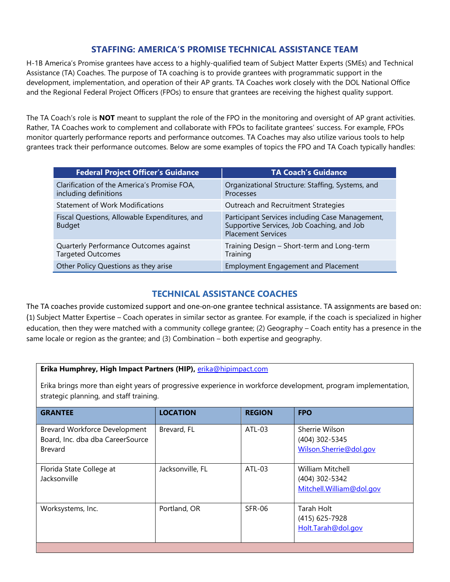# **STAFFING: AMERICA'S PROMISE TECHNICAL ASSISTANCE TEAM**

H-1B America's Promise grantees have access to a highly-qualified team of Subject Matter Experts (SMEs) and Technical Assistance (TA) Coaches. The purpose of TA coaching is to provide grantees with programmatic support in the development, implementation, and operation of their AP grants. TA Coaches work closely with the DOL National Office and the Regional Federal Project Officers (FPOs) to ensure that grantees are receiving the highest quality support.

The TA Coach's role is **NOT** meant to supplant the role of the FPO in the monitoring and oversight of AP grant activities. Rather, TA Coaches work to complement and collaborate with FPOs to facilitate grantees' success. For example, FPOs monitor quarterly performance reports and performance outcomes. TA Coaches may also utilize various tools to help grantees track their performance outcomes. Below are some examples of topics the FPO and TA Coach typically handles:

| <b>Federal Project Officer's Guidance</b>                            | <b>TA Coach's Guidance</b>                                                                                                 |
|----------------------------------------------------------------------|----------------------------------------------------------------------------------------------------------------------------|
| Clarification of the America's Promise FOA,<br>including definitions | Organizational Structure: Staffing, Systems, and<br>Processes                                                              |
| <b>Statement of Work Modifications</b>                               | Outreach and Recruitment Strategies                                                                                        |
| Fiscal Questions, Allowable Expenditures, and<br><b>Budget</b>       | Participant Services including Case Management,<br>Supportive Services, Job Coaching, and Job<br><b>Placement Services</b> |
| Quarterly Performance Outcomes against<br><b>Targeted Outcomes</b>   | Training Design - Short-term and Long-term<br>Training                                                                     |
| Other Policy Questions as they arise                                 | <b>Employment Engagement and Placement</b>                                                                                 |

## **TECHNICAL ASSISTANCE COACHES**

The TA coaches provide customized support and one-on-one grantee technical assistance. TA assignments are based on: (1) Subject Matter Expertise – Coach operates in similar sector as grantee. For example, if the coach is specialized in higher education, then they were matched with a community college grantee; (2) Geography – Coach entity has a presence in the same locale or region as the grantee; and (3) Combination – both expertise and geography.

### **Erika Humphrey, High Impact Partners (HIP),** [erika@hipimpact.com](mailto:erika@hipimpact.com)

Erika brings more than eight years of progressive experience in workforce development, program implementation, strategic planning, and staff training.

| <b>GRANTEE</b>                                                               | <b>LOCATION</b>  | <b>REGION</b> | <b>FPO</b>                                                      |
|------------------------------------------------------------------------------|------------------|---------------|-----------------------------------------------------------------|
| Brevard Workforce Development<br>Board, Inc. dba dba CareerSource<br>Brevard | Brevard, FL      | ATL-03        | Sherrie Wilson<br>(404) 302-5345<br>Wilson.Sherrie@dol.gov      |
| Florida State College at<br>Jacksonville                                     | Jacksonville, FL | $ATL-03$      | William Mitchell<br>(404) 302-5342<br>Mitchell. William@dol.gov |
| Worksystems, Inc.                                                            | Portland, OR     | <b>SFR-06</b> | Tarah Holt<br>(415) 625-7928<br>Holt.Tarah@dol.gov              |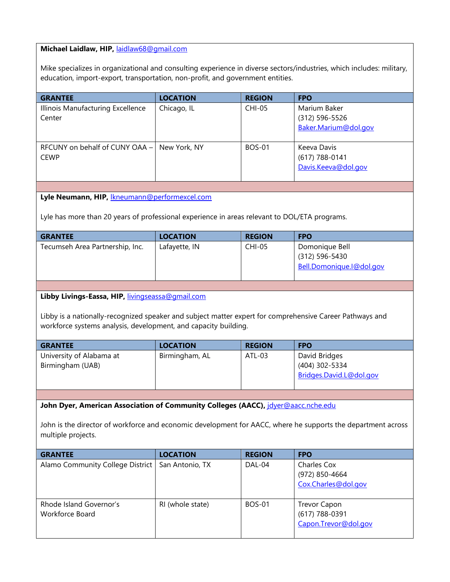#### **Michael Laidlaw, HIP,** [laidlaw68@gmail.com](mailto:laidlaw68@gmail.com)

Mike specializes in organizational and consulting experience in diverse sectors/industries, which includes: military, education, import-export, transportation, non-profit, and government entities.

| <b>GRANTEE</b>                                | <b>LOCATION</b> | <b>REGION</b> | <b>FPO</b>                                             |
|-----------------------------------------------|-----------------|---------------|--------------------------------------------------------|
| Illinois Manufacturing Excellence<br>Center   | Chicago, IL     | <b>CHI-05</b> | Marium Baker<br>(312) 596-5526<br>Baker.Marium@dol.gov |
| RFCUNY on behalf of CUNY OAA -<br><b>CEWP</b> | New York, NY    | <b>BOS-01</b> | Keeva Davis<br>(617) 788-0141<br>Davis.Keeva@dol.gov   |

#### **Lyle Neumann, HIP,** [lkneumann@performexcel.com](mailto:lkneumann@performexcel.com)

Lyle has more than 20 years of professional experience in areas relevant to DOL/ETA programs.

| <b>GRANTEE</b>                  | <b>LOCATION</b> | <b>REGION</b> | <b>FPO</b>               |
|---------------------------------|-----------------|---------------|--------------------------|
| Tecumseh Area Partnership, Inc. | Lafayette, IN   | <b>CHI-05</b> | Domonique Bell           |
|                                 |                 |               | (312) 596-5430           |
|                                 |                 |               | Bell.Domonique.I@dol.gov |
|                                 |                 |               |                          |

#### **Libby Livings-Eassa, HIP,** [livingseassa@gmail.com](mailto:livingseassa@gmail.com)

Libby is a nationally-recognized speaker and subject matter expert for comprehensive Career Pathways and workforce systems analysis, development, and capacity building.

| <b>GRANTEE</b>           | <b>LOCATION</b> | <b>REGION</b> | <b>FPO</b>              |
|--------------------------|-----------------|---------------|-------------------------|
| University of Alabama at | Birmingham, AL  | ATL-03        | David Bridges           |
| Birmingham (UAB)         |                 |               | (404) 302-5334          |
|                          |                 |               | Bridges.David.L@dol.gov |
|                          |                 |               |                         |

#### John Dyer, American Association of Community Colleges (AACC), *[jdyer@aacc.nche.edu](mailto:jdyer@aacc.nche.edu)*

John is the director of workforce and economic development for AACC, where he supports the department across multiple projects.

| <b>GRANTEE</b>                             | <b>LOCATION</b>  | <b>REGION</b> | <b>FPO</b>                                             |
|--------------------------------------------|------------------|---------------|--------------------------------------------------------|
| Alamo Community College District           | San Antonio, TX  | DAL-04        | Charles Cox<br>(972) 850-4664<br>Cox.Charles@dol.gov   |
| Rhode Island Governor's<br>Workforce Board | RI (whole state) | <b>BOS-01</b> | Trevor Capon<br>(617) 788-0391<br>Capon.Trevor@dol.gov |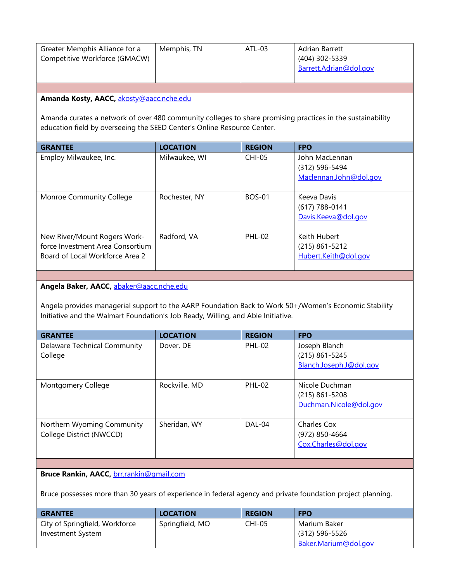| Greater Memphis Alliance for a<br>Competitive Workforce (GMACW)                                                                                                                       | Memphis, TN     | ATL-03        | Adrian Barrett<br>(404) 302-5339                           |
|---------------------------------------------------------------------------------------------------------------------------------------------------------------------------------------|-----------------|---------------|------------------------------------------------------------|
|                                                                                                                                                                                       |                 |               | Barrett.Adrian@dol.gov                                     |
|                                                                                                                                                                                       |                 |               |                                                            |
| Amanda Kosty, AACC, akosty@aacc.nche.edu                                                                                                                                              |                 |               |                                                            |
| Amanda curates a network of over 480 community colleges to share promising practices in the sustainability<br>education field by overseeing the SEED Center's Online Resource Center. |                 |               |                                                            |
| <b>GRANTEE</b>                                                                                                                                                                        | <b>LOCATION</b> | <b>REGION</b> | <b>FPO</b>                                                 |
| Employ Milwaukee, Inc.                                                                                                                                                                | Milwaukee, WI   | <b>CHI-05</b> | John MacLennan<br>(312) 596-5494<br>Maclennan.John@dol.gov |
|                                                                                                                                                                                       |                 |               |                                                            |
| Monroe Community College                                                                                                                                                              | Rochester, NY   | <b>BOS-01</b> | Keeva Davis<br>$(617) 788 - 0141$                          |
|                                                                                                                                                                                       |                 |               | Davis.Keeva@dol.gov                                        |
|                                                                                                                                                                                       |                 |               |                                                            |

**Angela Baker, AACC,** [abaker@aacc.nche.edu](mailto:abaker@aacc.nche.edu)

Angela provides managerial support to the AARP Foundation Back to Work 50+/Women's Economic Stability Initiative and the Walmart Foundation's Job Ready, Willing, and Able Initiative.

| <b>GRANTEE</b>                      | <b>LOCATION</b> | <b>REGION</b> | <b>FPO</b>              |
|-------------------------------------|-----------------|---------------|-------------------------|
| <b>Delaware Technical Community</b> | Dover, DE       | <b>PHL-02</b> | Joseph Blanch           |
| College                             |                 |               | $(215) 861 - 5245$      |
|                                     |                 |               | Blanch.Joseph.J@dol.gov |
|                                     |                 |               |                         |
| Montgomery College                  | Rockville, MD   | <b>PHL-02</b> | Nicole Duchman          |
|                                     |                 |               | $(215) 861 - 5208$      |
|                                     |                 |               | Duchman.Nicole@dol.gov  |
|                                     |                 |               |                         |
| Northern Wyoming Community          | Sheridan, WY    | DAL-04        | Charles Cox             |
| College District (NWCCD)            |                 |               | (972) 850-4664          |
|                                     |                 |               | Cox.Charles@dol.gov     |
|                                     |                 |               |                         |

**Bruce Rankin, AACC,** [brr.rankin@gmail.com](mailto:brr.rankin@gmail.com)

Bruce possesses more than 30 years of experience in federal agency and private foundation project planning.

| <b>GRANTEE</b>                 | <b>LOCATION</b> | <b>REGION</b> | <b>FPO</b>           |
|--------------------------------|-----------------|---------------|----------------------|
| City of Springfield, Workforce | Springfield, MO | CHI-05        | Marium Baker         |
| Investment System              |                 |               | $(312) 596 - 5526$   |
|                                |                 |               | Baker.Marium@dol.gov |